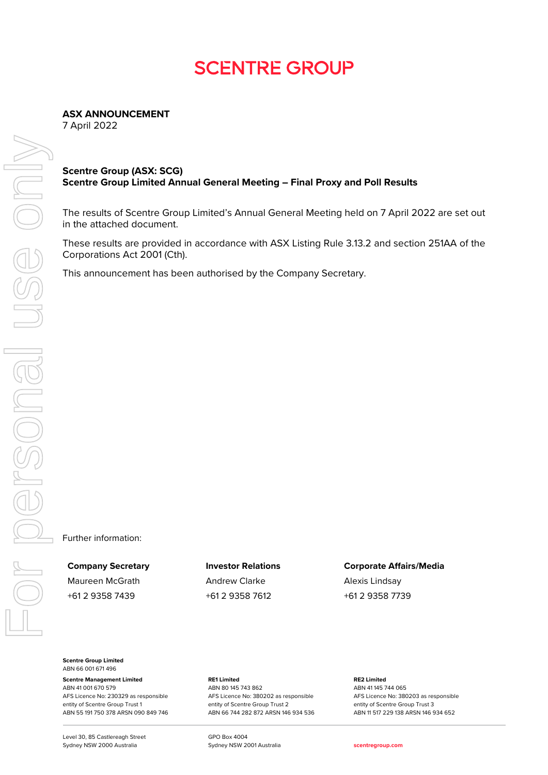## **SCENTRE GROUP**

**ASX ANNOUNCEMENT**

7 April 2022

## **Scentre Group (ASX: SCG) Scentre Group Limited Annual General Meeting – Final Proxy and Poll Results**

The results of Scentre Group Limited's Annual General Meeting held on 7 April 2022 are set out in the attached document.

These results are provided in accordance with ASX Listing Rule 3.13.2 and section 251AA of the Corporations Act 2001 (Cth).

This announcement has been authorised by the Company Secretary.

Further information:

Maureen McGrath **Andrew Clarke** Alexis Lindsay +61 2 9358 7439 +61 2 9358 7612 +61 2 9358 7739

**Company Secretary Investor Relations Corporate Affairs/Media**

**Scentre Group Limited** ABN 66 001 671 496

**Scentre Management Limited** ABN 41 001 670 579 AFS Licence No: 230329 as responsible entity of Scentre Group Trust 1 ABN 55 191 750 378 ARSN 090 849 746

Level 30, 85 Castlereagh Street Sydney NSW 2000 Australia

**RE1 Limited** ABN 80 145 743 862 AFS Licence No: 380202 as responsible entity of Scentre Group Trust 2 ABN 66 744 282 872 ARSN 146 934 536 **RE2 Limited** ABN 41 145 744 065 AFS Licence No: 380203 as responsible entity of Scentre Group Trust 3 ABN 11 517 229 138 ARSN 146 934 652

GPO Box 4004 Sydney NSW 2001 Australia **[scentregroup.com](http://www.scentregroup.com/)**